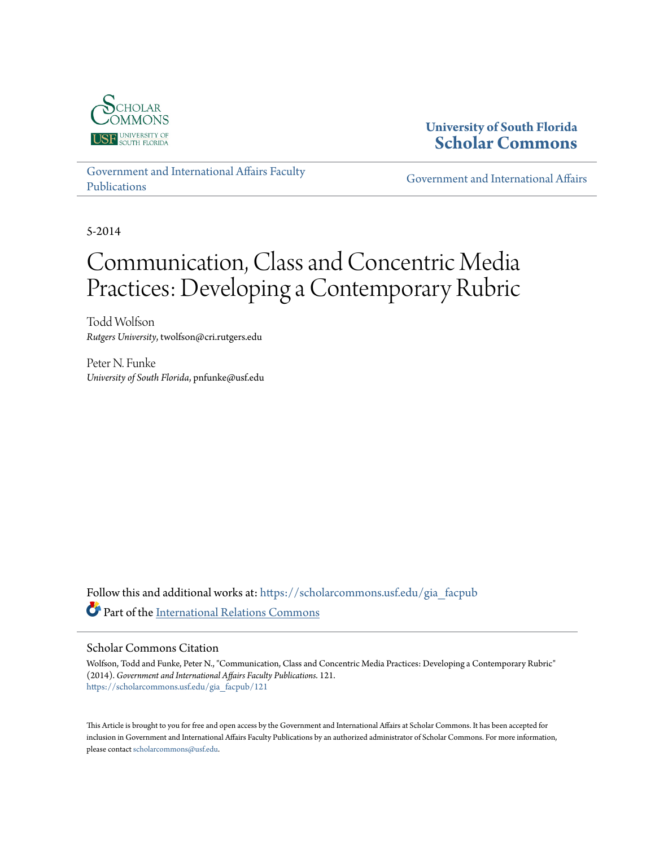

# **University of South Florida [Scholar Commons](https://scholarcommons.usf.edu?utm_source=scholarcommons.usf.edu%2Fgia_facpub%2F121&utm_medium=PDF&utm_campaign=PDFCoverPages)**

[Government and International Affairs Faculty](https://scholarcommons.usf.edu/gia_facpub?utm_source=scholarcommons.usf.edu%2Fgia_facpub%2F121&utm_medium=PDF&utm_campaign=PDFCoverPages) [Publications](https://scholarcommons.usf.edu/gia_facpub?utm_source=scholarcommons.usf.edu%2Fgia_facpub%2F121&utm_medium=PDF&utm_campaign=PDFCoverPages)

[Government and International Affairs](https://scholarcommons.usf.edu/gia?utm_source=scholarcommons.usf.edu%2Fgia_facpub%2F121&utm_medium=PDF&utm_campaign=PDFCoverPages)

5-2014

# Communication, Class and Concentric Media Practices: Developing a Contemporary Rubric

Todd Wolfson *Rutgers University*, twolfson@cri.rutgers.edu

Peter N. Funke *University of South Florida*, pnfunke@usf.edu

Follow this and additional works at: [https://scholarcommons.usf.edu/gia\\_facpub](https://scholarcommons.usf.edu/gia_facpub?utm_source=scholarcommons.usf.edu%2Fgia_facpub%2F121&utm_medium=PDF&utm_campaign=PDFCoverPages) Part of the [International Relations Commons](http://network.bepress.com/hgg/discipline/389?utm_source=scholarcommons.usf.edu%2Fgia_facpub%2F121&utm_medium=PDF&utm_campaign=PDFCoverPages)

#### Scholar Commons Citation

Wolfson, Todd and Funke, Peter N., "Communication, Class and Concentric Media Practices: Developing a Contemporary Rubric" (2014). *Government and International Affairs Faculty Publications*. 121. [https://scholarcommons.usf.edu/gia\\_facpub/121](https://scholarcommons.usf.edu/gia_facpub/121?utm_source=scholarcommons.usf.edu%2Fgia_facpub%2F121&utm_medium=PDF&utm_campaign=PDFCoverPages)

This Article is brought to you for free and open access by the Government and International Affairs at Scholar Commons. It has been accepted for inclusion in Government and International Affairs Faculty Publications by an authorized administrator of Scholar Commons. For more information, please contact [scholarcommons@usf.edu.](mailto:scholarcommons@usf.edu)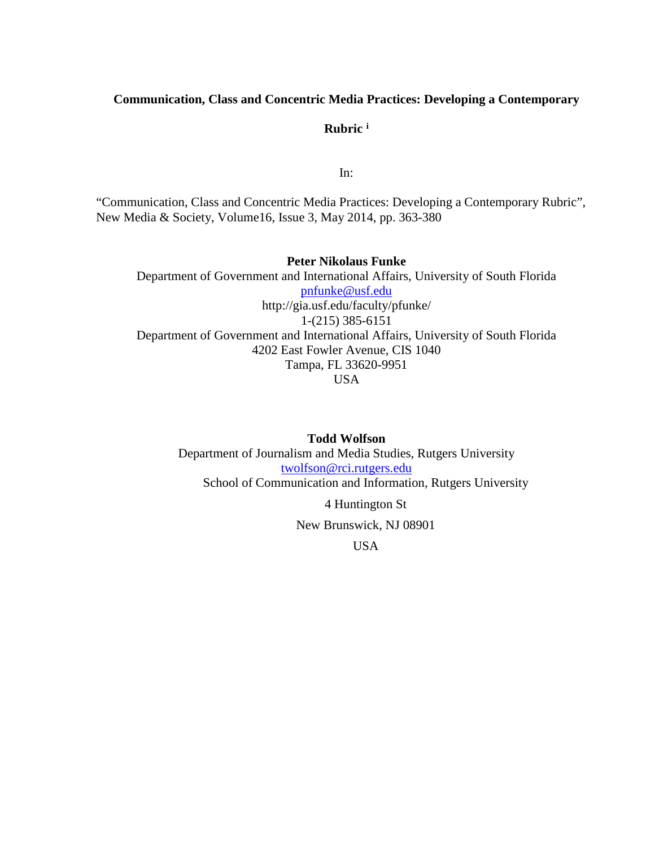# **Communication, Class and Concentric Media Practices: Developing a Contemporary**

**Rubric [i](#page-4-0)**

In:

"Communication, Class and Concentric Media Practices: Developing a Contemporary Rubric", New Media & Society, Volume16, Issue 3, May 2014, pp. 363-380

## **Peter Nikolaus Funke**

Department of Government and International Affairs, University of South Florida [pnfunke@usf.edu](mailto:pnfunke@usf.edu) http://gia.usf.edu/faculty/pfunke/ 1-(215) 385-6151 Department of Government and International Affairs, University of South Florida 4202 East Fowler Avenue, CIS 1040 Tampa, FL 33620-9951 USA

**Todd Wolfson** Department of Journalism and Media Studies, Rutgers University [twolfson@rci.rutgers.edu](mailto:twolfson@rci.rutgers.edu) School of Communication and Information, Rutgers University

4 Huntington St

New Brunswick, NJ 08901

USA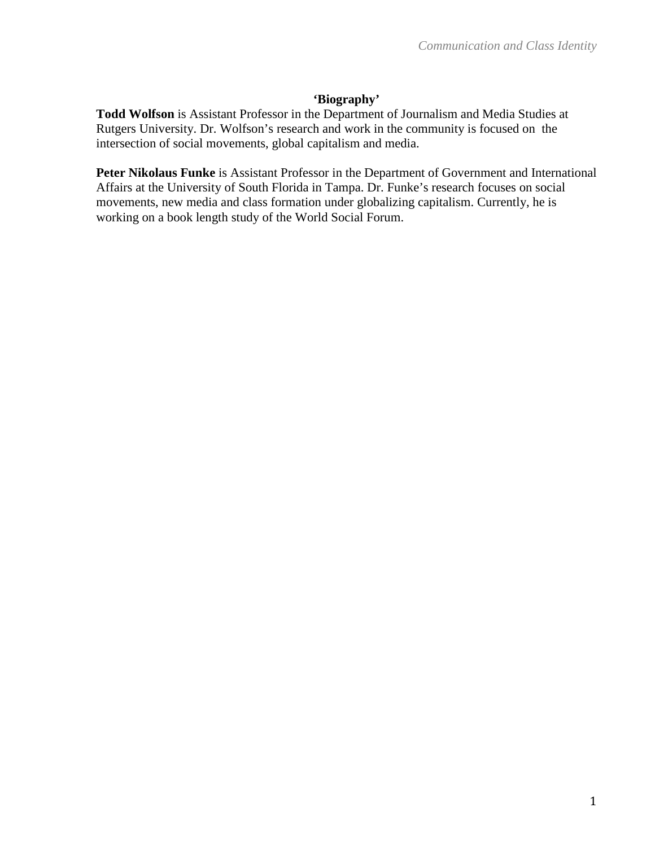# **'Biography'**

**Todd Wolfson** is Assistant Professor in the Department of Journalism and Media Studies at Rutgers University. Dr. Wolfson's research and work in the community is focused on the intersection of social movements, global capitalism and media.

**Peter Nikolaus Funke** is Assistant Professor in the Department of Government and International Affairs at the University of South Florida in Tampa. Dr. Funke's research focuses on social movements, new media and class formation under globalizing capitalism. Currently, he is working on a book length study of the World Social Forum.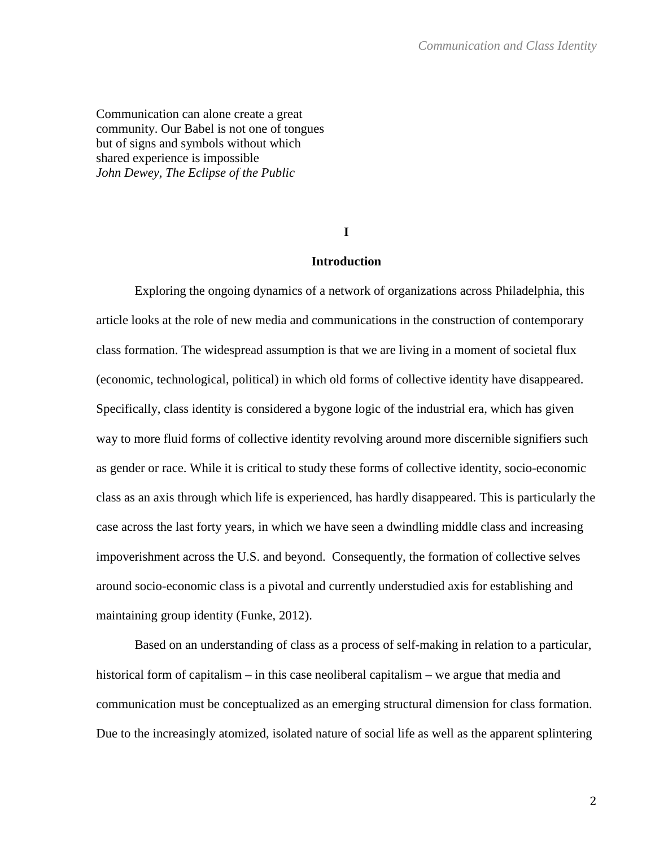Communication can alone create a great community. Our Babel is not one of tongues but of signs and symbols without which shared experience is impossible *John Dewey, The Eclipse of the Public*

**I**

#### **Introduction**

Exploring the ongoing dynamics of a network of organizations across Philadelphia, this article looks at the role of new media and communications in the construction of contemporary class formation. The widespread assumption is that we are living in a moment of societal flux (economic, technological, political) in which old forms of collective identity have disappeared. Specifically, class identity is considered a bygone logic of the industrial era, which has given way to more fluid forms of collective identity revolving around more discernible signifiers such as gender or race. While it is critical to study these forms of collective identity, socio-economic class as an axis through which life is experienced, has hardly disappeared. This is particularly the case across the last forty years, in which we have seen a dwindling middle class and increasing impoverishment across the U.S. and beyond. Consequently, the formation of collective selves around socio-economic class is a pivotal and currently understudied axis for establishing and maintaining group identity (Funke, 2012).

Based on an understanding of class as a process of self-making in relation to a particular, historical form of capitalism – in this case neoliberal capitalism – we argue that media and communication must be conceptualized as an emerging structural dimension for class formation. Due to the increasingly atomized, isolated nature of social life as well as the apparent splintering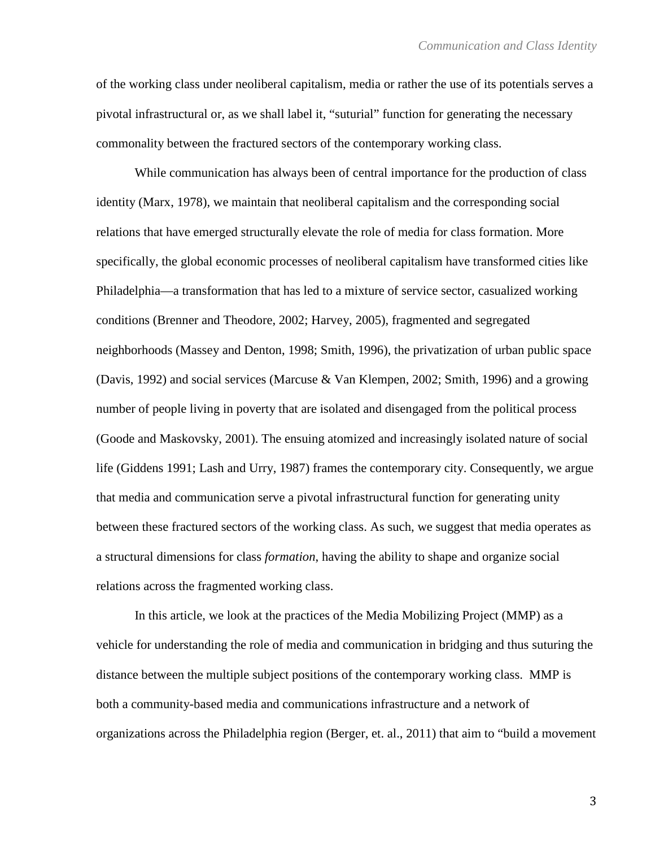of the working class under neoliberal capitalism, media or rather the use of its potentials serves a pivotal infrastructural or, as we shall label it, "suturial" function for generating the necessary commonality between the fractured sectors of the contemporary working class.

<span id="page-4-1"></span><span id="page-4-0"></span>While communication has always been of central importance for the production of class identity (Marx, 1978), we maintain that neoliberal capitalism and the corresponding social relations that have emerged structurally elevate the role of media for class formation. More specifically, the global economic processes of neoliberal capitalism have transformed cities like Philadelphia—a transformation that has led to a mixture of service sector, casualized working conditions (Brenner and Theodore, 2002; Harvey, 2005), fragmented and segregated neighborhoods (Massey and Denton, 1998; Smith, 1996), the privatization of urban public space (Davis, 1992) and social services (Marcuse & Van Klempen, 2002; Smith, 1996) and a growing number of people living in poverty that are isolated and disengaged from the political process (Goode and Maskovsky, 2001). The ensuing atomized and increasingly isolated nature of social life (Giddens 1991; Lash and Urry, 1987) frames the contemporary city. Consequently, we argue that media and communication serve a pivotal infrastructural function for generating unity between these fractured sectors of the working class. As such, we suggest that media operates as a structural dimensions for class *formation*, having the ability to shape and organize social relations across the fragmented working class.

In this article, we look at the practices of the Media Mobilizing Project (MMP) as a vehicle for understanding the role of media and communication in bridging and thus suturing the distance between the multiple subject positions of the contemporary working class. MMP is both a community-based media and communications infrastructure and a network of organizations across the Philadelphia region (Berger, et. al., 2011) that aim to "build a movement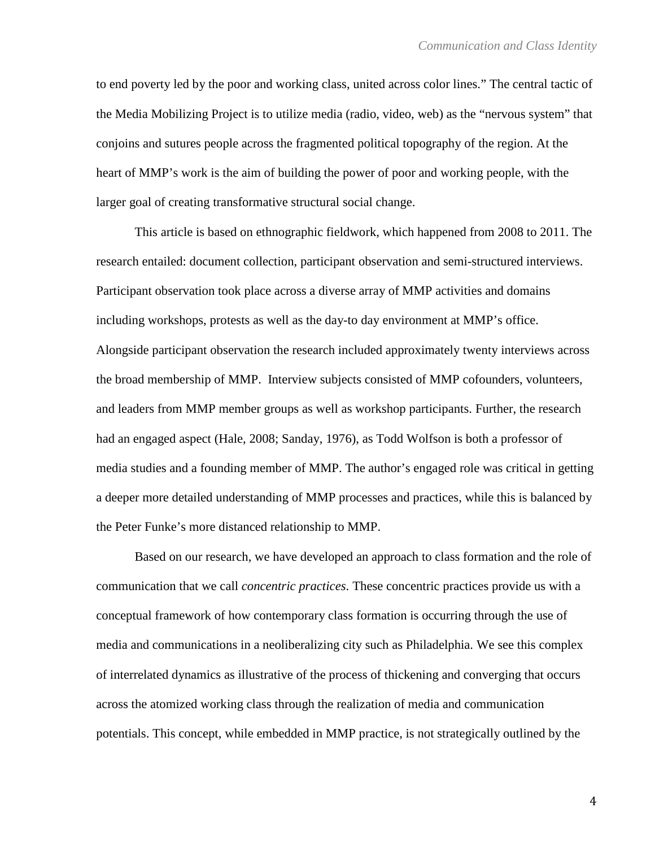to end poverty led by the poor and working class, united across color lines." The central tactic of the Media Mobilizing Project is to utilize media (radio, video, web) as the "nervous system" that conjoins and sutures people across the fragmented political topography of the region. At the heart of MMP's work is the aim of building the power of poor and working people, with the larger goal of creating transformative structural social change.

This article is based on ethnographic fieldwork, which happened from 2008 to 2011. The research entailed: document collection, participant observation and semi-structured interviews. Participant observation took place across a diverse array of MMP activities and domains including workshops, protests as well as the day-to day environment at MMP's office. Alongside participant observation the research included approximately twenty interviews across the broad membership of MMP. Interview subjects consisted of MMP cofounders, volunteers, and leaders from MMP member groups as well as workshop participants. Further, the research had an engaged aspect (Hale, 2008; Sanday, 1976), as Todd Wolfson is both a professor of media studies and a founding member of MMP. The author's engaged role was critical in getting a deeper more detailed understanding of MMP processes and practices, while this is balanced by the Peter Funke's more distanced relationship to MMP.

<span id="page-5-0"></span>Based on our research, we have developed an approach to class formation and the role of communication that we call *concentric practices*. These concentric practices provide us with a conceptual framework of how contemporary class formation is occurring through the use of media and communications in a neoliberalizing city such as Philadelphia. We see this complex of interrelated dynamics as illustrative of the process of thickening and converging that occurs across the atomized working class through the realization of media and communication potentials. This concept, while embedded in MMP practice, is not strategically outlined by the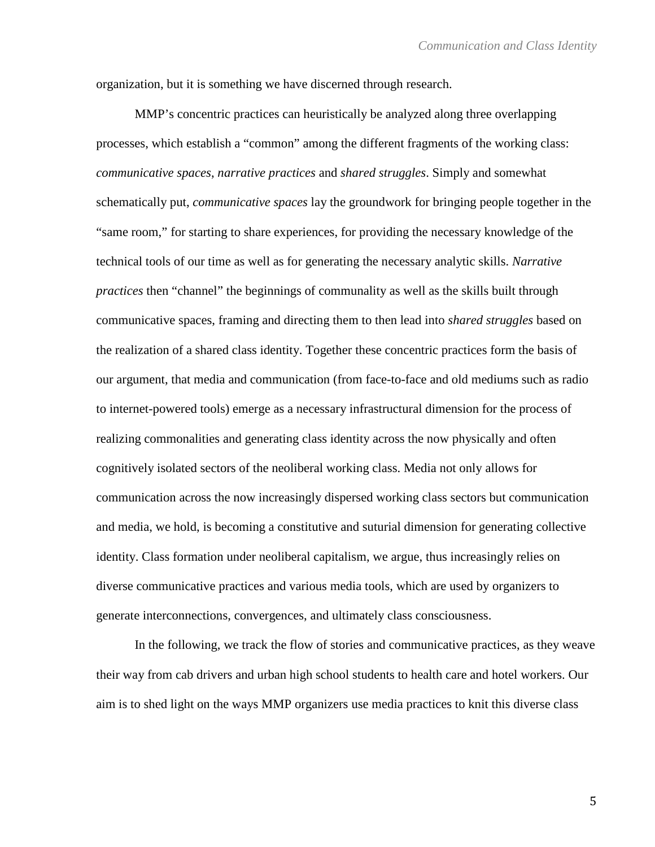organization, but it is something we have discerned through research.

MMP's concentric practices can heuristically be analyzed along three overlapping processes, which establish a "common" among the different fragments of the working class: *communicative spaces*, *narrative practices* and *shared struggles*. Simply and somewhat schematically put, *communicative spaces* lay the groundwork for bringing people together in the "same room," for starting to share experiences, for providing the necessary knowledge of the technical tools of our time as well as for generating the necessary analytic skills. *Narrative practices* then "channel" the beginnings of communality as well as the skills built through communicative spaces, framing and directing them to then lead into *shared struggles* based on the realization of a shared class identity. Together these concentric practices form the basis of our argument, that media and communication (from face-to-face and old mediums such as radio to internet-powered tools) emerge as a necessary infrastructural dimension for the process of realizing commonalities and generating class identity across the now physically and often cognitively isolated sectors of the neoliberal working class. Media not only allows for communication across the now increasingly dispersed working class sectors but communication and media, we hold, is becoming a constitutive and suturial dimension for generating collective identity. Class formation under neoliberal capitalism, we argue, thus increasingly relies on diverse communicative practices and various media tools, which are used by organizers to generate interconnections, convergences, and ultimately class consciousness.

In the following, we track the flow of stories and communicative practices, as they weave their way from cab drivers and urban high school students to health care and hotel workers. Our aim is to shed light on the ways MMP organizers use media practices to knit this diverse class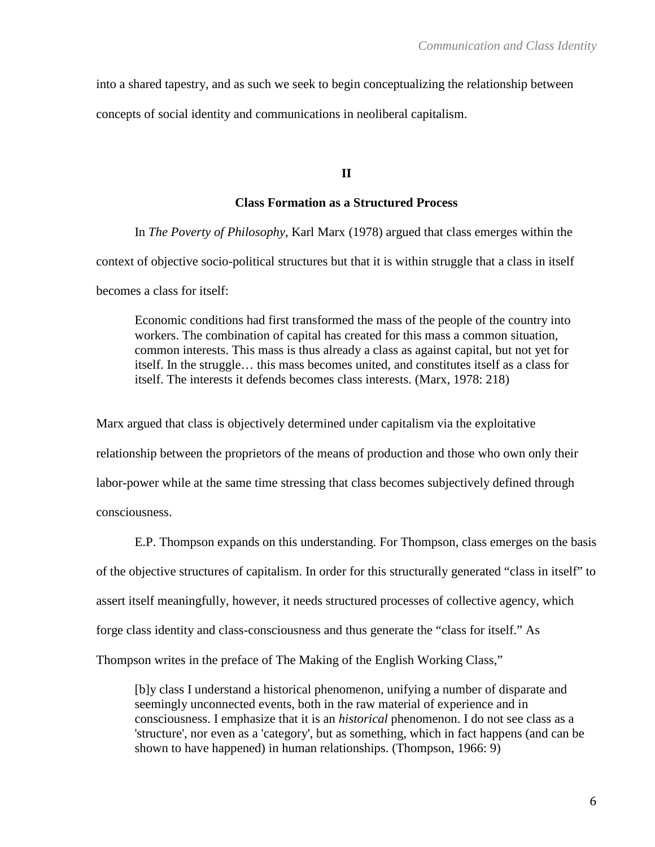into a shared tapestry, and as such we seek to begin conceptualizing the relationship between

concepts of social identity and communications in neoliberal capitalism.

**II**

# **Class Formation as a Structured Process**

In *The Poverty of Philosophy*, Karl Marx (1978) argued that class emerges within the context of objective socio-political structures but that it is within struggle that a class in itself becomes a class for itself:

Economic conditions had first transformed the mass of the people of the country into workers. The combination of capital has created for this mass a common situation, common interests. This mass is thus already a class as against capital, but not yet for itself. In the struggle… this mass becomes united, and constitutes itself as a class for itself. The interests it defends becomes class interests. (Marx, 1978: 218)

Marx argued that class is objectively determined under capitalism via the exploitative relationship between the proprietors of the means of production and those who own only their labor-power while at the same time stressing that class becomes subjectively defined through consciousness.

E.P. Thompson expands on this understanding. For Thompson, class emerges on the basis of the objective structures of capitalism. In order for this structurally generated "class in itself" to assert itself meaningfully, however, it needs structured processes of collective agency, which forge class identity and class-consciousness and thus generate the "class for itself." As Thompson writes in the preface of The Making of the English Working Class,"

[b]y class I understand a historical phenomenon, unifying a number of disparate and seemingly unconnected events, both in the raw material of experience and in consciousness. I emphasize that it is an *historical* phenomenon. I do not see class as a 'structure', nor even as a 'category', but as something, which in fact happens (and can be shown to have happened) in human relationships. (Thompson, 1966: 9)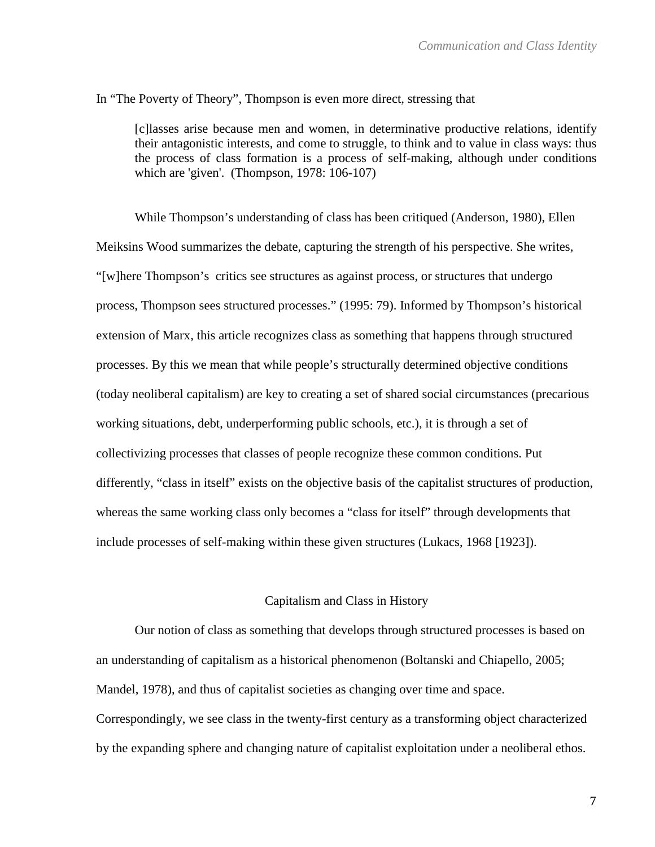In "The Poverty of Theory", Thompson is even more direct, stressing that

[c]lasses arise because men and women, in determinative productive relations, identify their antagonistic interests, and come to struggle, to think and to value in class ways: thus the process of class formation is a process of self-making, although under conditions which are 'given'. (Thompson, 1978: 106-107)

While Thompson's understanding of class has been critiqued (Anderson, 1980), Ellen Meiksins Wood summarizes the debate, capturing the strength of his perspective. She writes, "[w]here Thompson's critics see structures as against process, or structures that undergo process, Thompson sees structured processes." (1995: 79). Informed by Thompson's historical extension of Marx, this article recognizes class as something that happens through structured processes. By this we mean that while people's structurally determined objective conditions (today neoliberal capitalism) are key to creating a set of shared social circumstances (precarious working situations, debt, underperforming public schools, etc.), it is through a set of collectivizing processes that classes of people recognize these common conditions. Put differently, "class in itself" exists on the objective basis of the capitalist structures of production, whereas the same working class only becomes a "class for itself" through developments that include processes of self-making within these given structures (Lukacs, 1968 [1923]).

# Capitalism and Class in History

Our notion of class as something that develops through structured processes is based on an understanding of capitalism as a historical phenomenon (Boltanski and Chiapello, 2005; Mandel, 1978), and thus of capitalist societies as changing over time and space. Correspondingly, we see class in the twenty-first century as a transforming object characterized by the expanding sphere and changing nature of capitalist exploitation under a neoliberal ethos.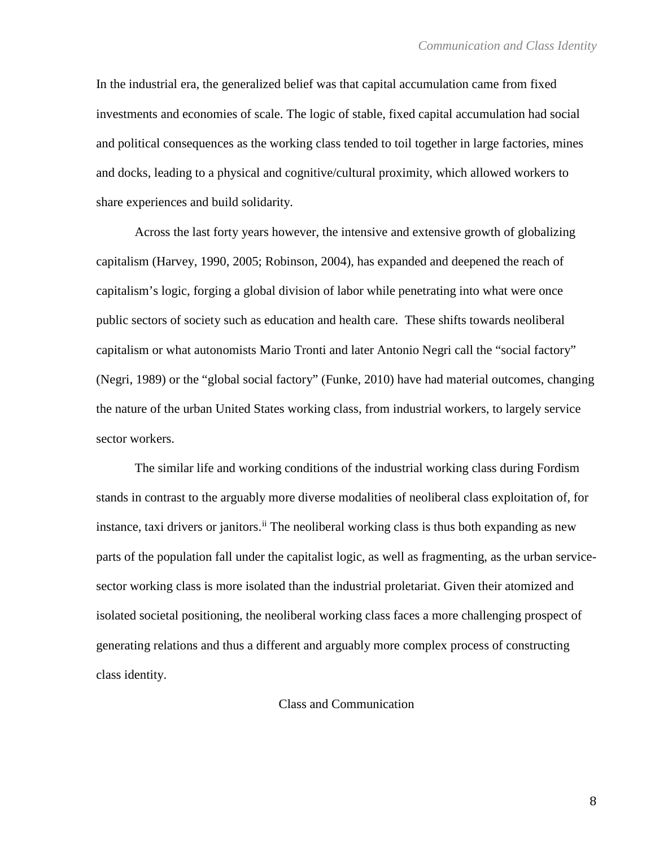In the industrial era, the generalized belief was that capital accumulation came from fixed investments and economies of scale. The logic of stable, fixed capital accumulation had social and political consequences as the working class tended to toil together in large factories, mines and docks, leading to a physical and cognitive/cultural proximity, which allowed workers to share experiences and build solidarity.

Across the last forty years however, the intensive and extensive growth of globalizing capitalism (Harvey, 1990, 2005; Robinson, 2004), has expanded and deepened the reach of capitalism's logic, forging a global division of labor while penetrating into what were once public sectors of society such as education and health care. These shifts towards neoliberal capitalism or what autonomists Mario Tronti and later Antonio Negri call the "social factory" (Negri, 1989) or the "global social factory" (Funke, 2010) have had material outcomes, changing the nature of the urban United States working class, from industrial workers, to largely service sector workers.

The similar life and working conditions of the industrial working class during Fordism stands in contrast to the arguably more diverse modalities of neoliberal class exploitation of, for instance, taxi drivers or janitors.<sup>[ii](#page-4-1)</sup> The neoliberal working class is thus both expanding as new parts of the population fall under the capitalist logic, as well as fragmenting, as the urban servicesector working class is more isolated than the industrial proletariat. Given their atomized and isolated societal positioning, the neoliberal working class faces a more challenging prospect of generating relations and thus a different and arguably more complex process of constructing class identity.

#### Class and Communication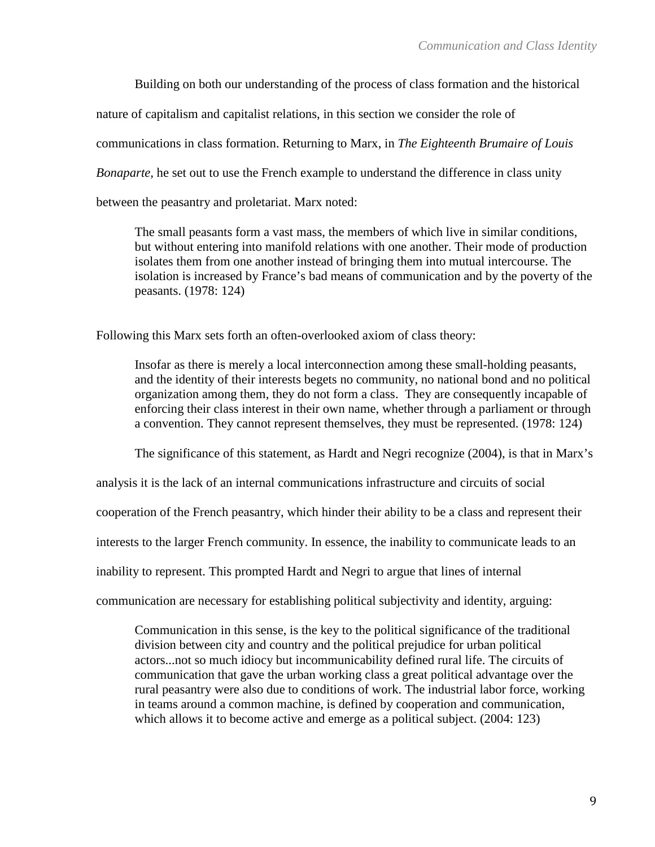Building on both our understanding of the process of class formation and the historical

nature of capitalism and capitalist relations, in this section we consider the role of

communications in class formation. Returning to Marx, in *The Eighteenth Brumaire of Louis* 

*Bonaparte,* he set out to use the French example to understand the difference in class unity

between the peasantry and proletariat. Marx noted:

The small peasants form a vast mass, the members of which live in similar conditions, but without entering into manifold relations with one another. Their mode of production isolates them from one another instead of bringing them into mutual intercourse. The isolation is increased by France's bad means of communication and by the poverty of the peasants. (1978: 124)

Following this Marx sets forth an often-overlooked axiom of class theory:

Insofar as there is merely a local interconnection among these small-holding peasants, and the identity of their interests begets no community, no national bond and no political organization among them, they do not form a class. They are consequently incapable of enforcing their class interest in their own name, whether through a parliament or through a convention. They cannot represent themselves, they must be represented. (1978: 124)

The significance of this statement, as Hardt and Negri recognize (2004), is that in Marx's

analysis it is the lack of an internal communications infrastructure and circuits of social

cooperation of the French peasantry, which hinder their ability to be a class and represent their

interests to the larger French community. In essence, the inability to communicate leads to an

inability to represent. This prompted Hardt and Negri to argue that lines of internal

communication are necessary for establishing political subjectivity and identity, arguing:

Communication in this sense, is the key to the political significance of the traditional division between city and country and the political prejudice for urban political actors...not so much idiocy but incommunicability defined rural life. The circuits of communication that gave the urban working class a great political advantage over the rural peasantry were also due to conditions of work. The industrial labor force, working in teams around a common machine, is defined by cooperation and communication, which allows it to become active and emerge as a political subject. (2004: 123)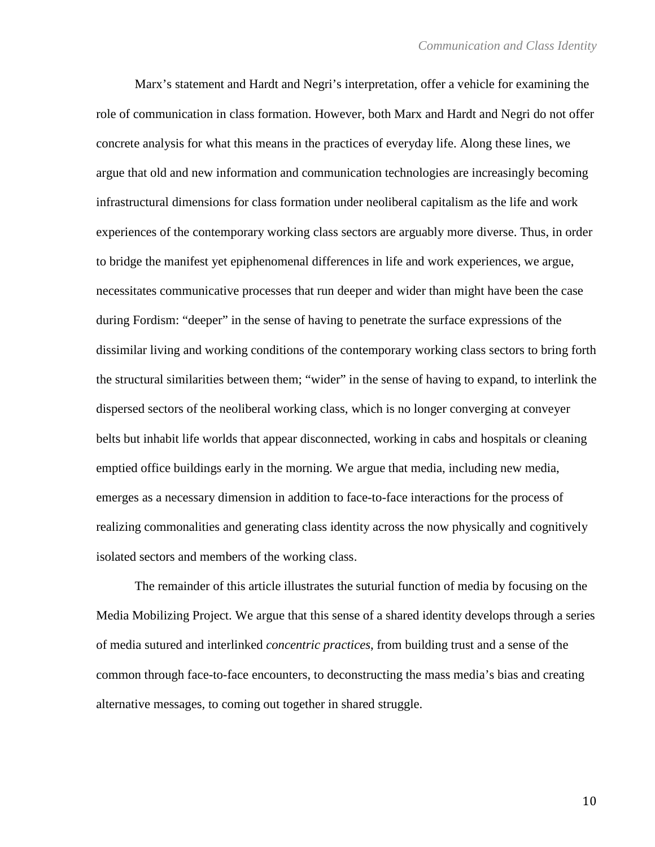Marx's statement and Hardt and Negri's interpretation, offer a vehicle for examining the role of communication in class formation. However, both Marx and Hardt and Negri do not offer concrete analysis for what this means in the practices of everyday life. Along these lines, we argue that old and new information and communication technologies are increasingly becoming infrastructural dimensions for class formation under neoliberal capitalism as the life and work experiences of the contemporary working class sectors are arguably more diverse. Thus, in order to bridge the manifest yet epiphenomenal differences in life and work experiences, we argue, necessitates communicative processes that run deeper and wider than might have been the case during Fordism: "deeper" in the sense of having to penetrate the surface expressions of the dissimilar living and working conditions of the contemporary working class sectors to bring forth the structural similarities between them; "wider" in the sense of having to expand, to interlink the dispersed sectors of the neoliberal working class, which is no longer converging at conveyer belts but inhabit life worlds that appear disconnected, working in cabs and hospitals or cleaning emptied office buildings early in the morning. We argue that media, including new media, emerges as a necessary dimension in addition to face-to-face interactions for the process of realizing commonalities and generating class identity across the now physically and cognitively isolated sectors and members of the working class.

The remainder of this article illustrates the suturial function of media by focusing on the Media Mobilizing Project. We argue that this sense of a shared identity develops through a series of media sutured and interlinked *concentric practices*, from building trust and a sense of the common through face-to-face encounters, to deconstructing the mass media's bias and creating alternative messages, to coming out together in shared struggle.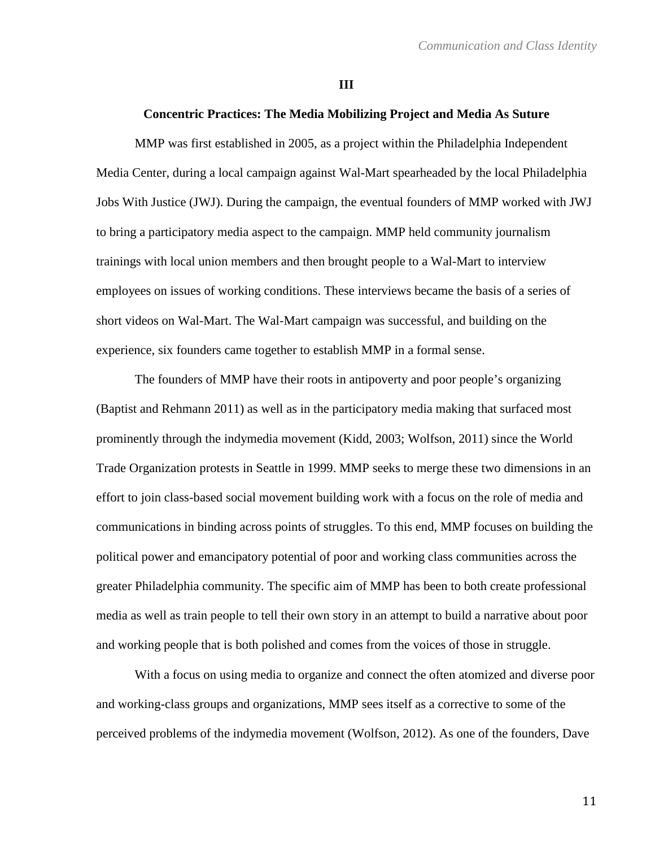**III**

#### **Concentric Practices: The Media Mobilizing Project and Media As Suture**

MMP was first established in 2005, as a project within the Philadelphia Independent Media Center, during a local campaign against Wal-Mart spearheaded by the local Philadelphia Jobs With Justice (JWJ). During the campaign, the eventual founders of MMP worked with JWJ to bring a participatory media aspect to the campaign. MMP held community journalism trainings with local union members and then brought people to a Wal-Mart to interview employees on issues of working conditions. These interviews became the basis of a series of short videos on Wal-Mart. The Wal-Mart campaign was successful, and building on the experience, six founders came together to establish MMP in a formal sense.

The founders of MMP have their roots in antipoverty and poor people's organizing (Baptist and Rehmann 2011) as well as in the participatory media making that surfaced most prominently through the indymedia movement (Kidd, 2003; Wolfson, 2011) since the World Trade Organization protests in Seattle in 1999. MMP seeks to merge these two dimensions in an effort to join class-based social movement building work with a focus on the role of media and communications in binding across points of struggles. To this end, MMP focuses on building the political power and emancipatory potential of poor and working class communities across the greater Philadelphia community. The specific aim of MMP has been to both create professional media as well as train people to tell their own story in an attempt to build a narrative about poor and working people that is both polished and comes from the voices of those in struggle.

With a focus on using media to organize and connect the often atomized and diverse poor and working-class groups and organizations, MMP sees itself as a corrective to some of the perceived problems of the indymedia movement (Wolfson, 2012). As one of the founders, Dave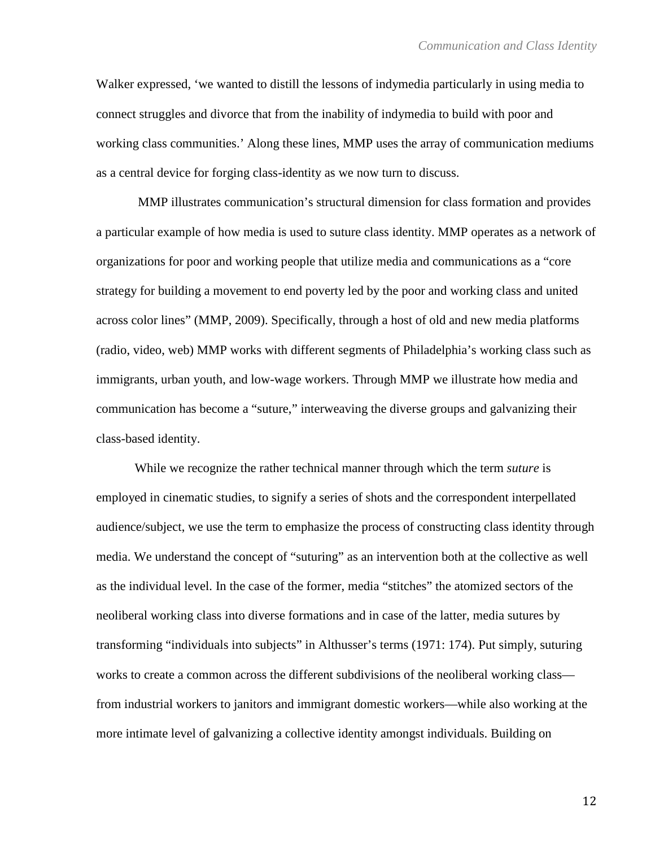Walker expressed, 'we wanted to distill the lessons of indymedia particularly in using media to connect struggles and divorce that from the inability of indymedia to build with poor and working class communities.' Along these lines, MMP uses the array of communication mediums as a central device for forging class-identity as we now turn to discuss.

MMP illustrates communication's structural dimension for class formation and provides a particular example of how media is used to suture class identity. MMP operates as a network of organizations for poor and working people that utilize media and communications as a "core strategy for building a movement to end poverty led by the poor and working class and united across color lines" (MMP, 2009). Specifically, through a host of old and new media platforms (radio, video, web) MMP works with different segments of Philadelphia's working class such as immigrants, urban youth, and low-wage workers. Through MMP we illustrate how media and communication has become a "suture," interweaving the diverse groups and galvanizing their class-based identity.

While we recognize the rather technical manner through which the term *suture* is employed in cinematic studies, to signify a series of shots and the correspondent interpellated audience/subject, we use the term to emphasize the process of constructing class identity through media. We understand the concept of "suturing" as an intervention both at the collective as well as the individual level. In the case of the former, media "stitches" the atomized sectors of the neoliberal working class into diverse formations and in case of the latter, media sutures by transforming "individuals into subjects" in Althusser's terms (1971: 174). Put simply, suturing works to create a common across the different subdivisions of the neoliberal working class from industrial workers to janitors and immigrant domestic workers—while also working at the more intimate level of galvanizing a collective identity amongst individuals. Building on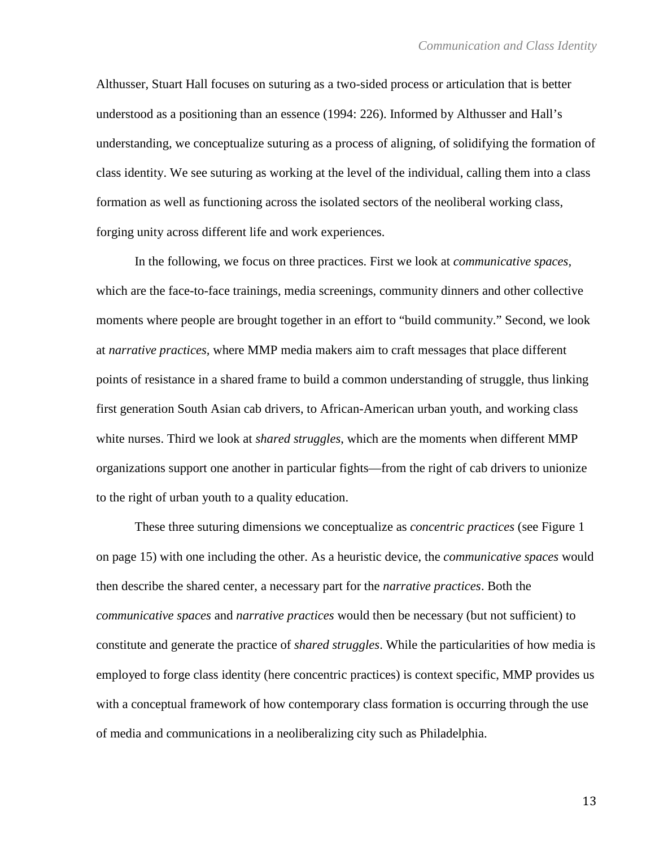Althusser, Stuart Hall focuses on suturing as a two-sided process or articulation that is better understood as a positioning than an essence (1994: 226). Informed by Althusser and Hall's understanding, we conceptualize suturing as a process of aligning, of solidifying the formation of class identity. We see suturing as working at the level of the individual, calling them into a class formation as well as functioning across the isolated sectors of the neoliberal working class, forging unity across different life and work experiences.

In the following, we focus on three practices. First we look at *communicative spaces,*  which are the face-to-face trainings, media screenings, community dinners and other collective moments where people are brought together in an effort to "build community." Second, we look at *narrative practices,* where MMP media makers aim to craft messages that place different points of resistance in a shared frame to build a common understanding of struggle, thus linking first generation South Asian cab drivers, to African-American urban youth, and working class white nurses. Third we look at *shared struggles*, which are the moments when different MMP organizations support one another in particular fights—from the right of cab drivers to unionize to the right of urban youth to a quality education.

These three suturing dimensions we conceptualize as *concentric practices* (see Figure 1 on page 15) with one including the other. As a heuristic device, the *communicative spaces* would then describe the shared center, a necessary part for the *narrative practices*. Both the *communicative spaces* and *narrative practices* would then be necessary (but not sufficient) to constitute and generate the practice of *shared struggles*. While the particularities of how media is employed to forge class identity (here concentric practices) is context specific, MMP provides us with a conceptual framework of how contemporary class formation is occurring through the use of media and communications in a neoliberalizing city such as Philadelphia.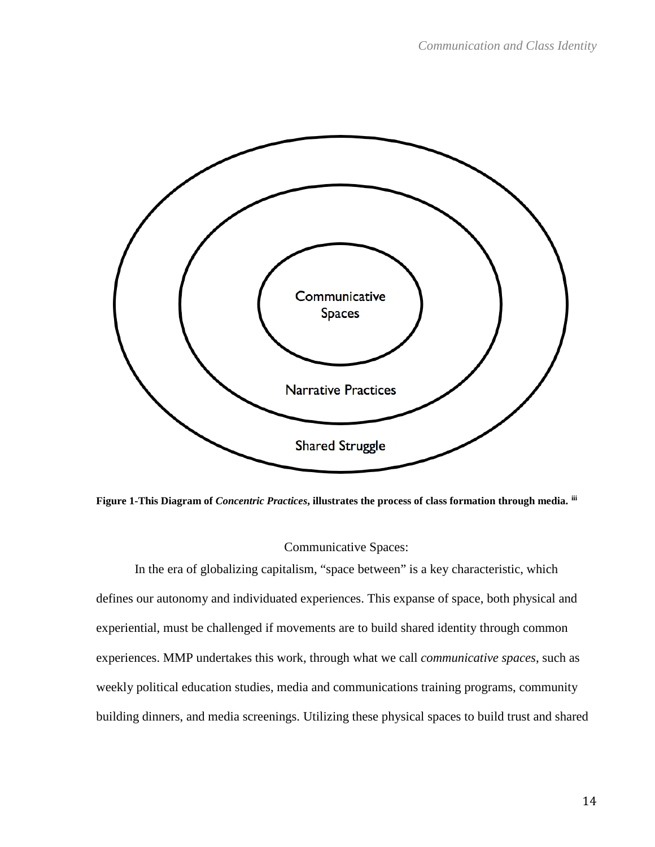

**Figure 1-This Diagram of** *Concentric Practices***, illustrates the process of class formation through media. [iii](#page-5-0)**

#### Communicative Spaces:

In the era of globalizing capitalism, "space between" is a key characteristic, which defines our autonomy and individuated experiences. This expanse of space, both physical and experiential, must be challenged if movements are to build shared identity through common experiences. MMP undertakes this work, through what we call *communicative spaces*, such as weekly political education studies, media and communications training programs, community building dinners, and media screenings. Utilizing these physical spaces to build trust and shared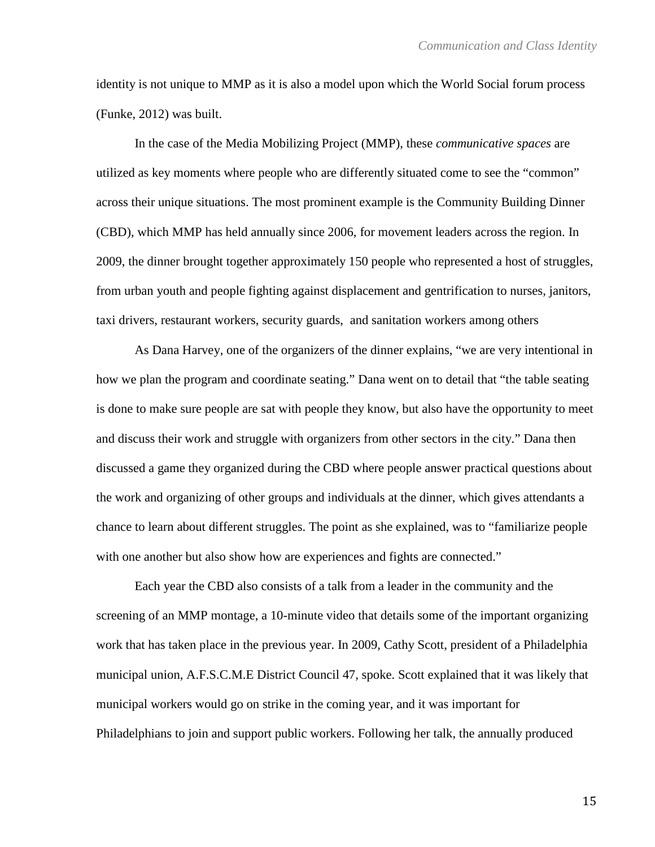identity is not unique to MMP as it is also a model upon which the World Social forum process (Funke, 2012) was built.

In the case of the Media Mobilizing Project (MMP), these *communicative spaces* are utilized as key moments where people who are differently situated come to see the "common" across their unique situations. The most prominent example is the Community Building Dinner (CBD), which MMP has held annually since 2006, for movement leaders across the region. In 2009, the dinner brought together approximately 150 people who represented a host of struggles, from urban youth and people fighting against displacement and gentrification to nurses, janitors, taxi drivers, restaurant workers, security guards, and sanitation workers among others

As Dana Harvey, one of the organizers of the dinner explains, "we are very intentional in how we plan the program and coordinate seating." Dana went on to detail that "the table seating is done to make sure people are sat with people they know, but also have the opportunity to meet and discuss their work and struggle with organizers from other sectors in the city." Dana then discussed a game they organized during the CBD where people answer practical questions about the work and organizing of other groups and individuals at the dinner, which gives attendants a chance to learn about different struggles. The point as she explained, was to "familiarize people with one another but also show how are experiences and fights are connected."

Each year the CBD also consists of a talk from a leader in the community and the screening of an MMP montage, a 10-minute video that details some of the important organizing work that has taken place in the previous year. In 2009, Cathy Scott, president of a Philadelphia municipal union, A.F.S.C.M.E District Council 47, spoke. Scott explained that it was likely that municipal workers would go on strike in the coming year, and it was important for Philadelphians to join and support public workers. Following her talk, the annually produced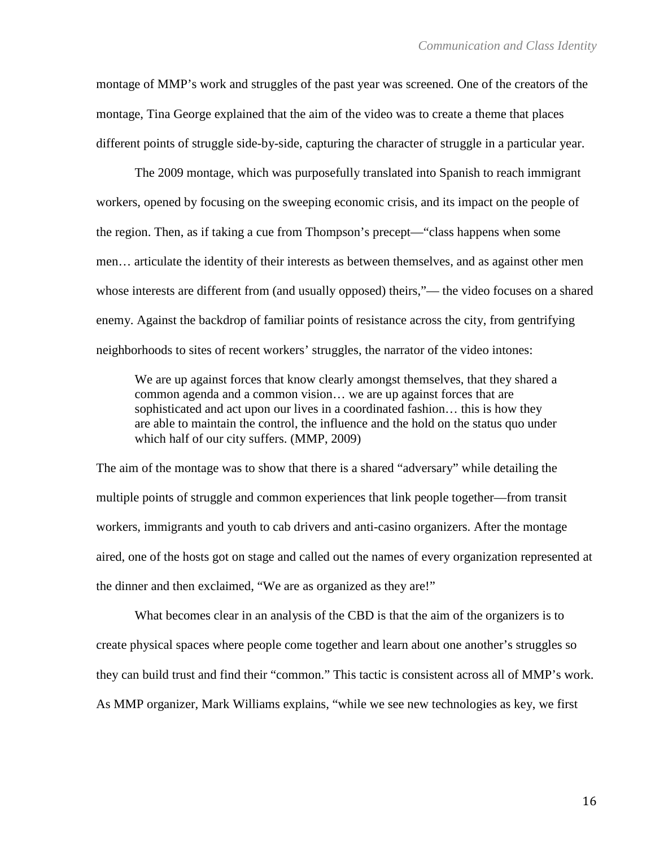montage of MMP's work and struggles of the past year was screened. One of the creators of the montage, Tina George explained that the aim of the video was to create a theme that places different points of struggle side-by-side, capturing the character of struggle in a particular year.

The 2009 montage, which was purposefully translated into Spanish to reach immigrant workers, opened by focusing on the sweeping economic crisis, and its impact on the people of the region. Then, as if taking a cue from Thompson's precept—"class happens when some men… articulate the identity of their interests as between themselves, and as against other men whose interests are different from (and usually opposed) theirs,"— the video focuses on a shared enemy. Against the backdrop of familiar points of resistance across the city, from gentrifying neighborhoods to sites of recent workers' struggles, the narrator of the video intones:

We are up against forces that know clearly amongst themselves, that they shared a common agenda and a common vision… we are up against forces that are sophisticated and act upon our lives in a coordinated fashion… this is how they are able to maintain the control, the influence and the hold on the status quo under which half of our city suffers. (MMP, 2009)

The aim of the montage was to show that there is a shared "adversary" while detailing the multiple points of struggle and common experiences that link people together—from transit workers, immigrants and youth to cab drivers and anti-casino organizers. After the montage aired, one of the hosts got on stage and called out the names of every organization represented at the dinner and then exclaimed, "We are as organized as they are!"

What becomes clear in an analysis of the CBD is that the aim of the organizers is to create physical spaces where people come together and learn about one another's struggles so they can build trust and find their "common." This tactic is consistent across all of MMP's work. As MMP organizer, Mark Williams explains, "while we see new technologies as key, we first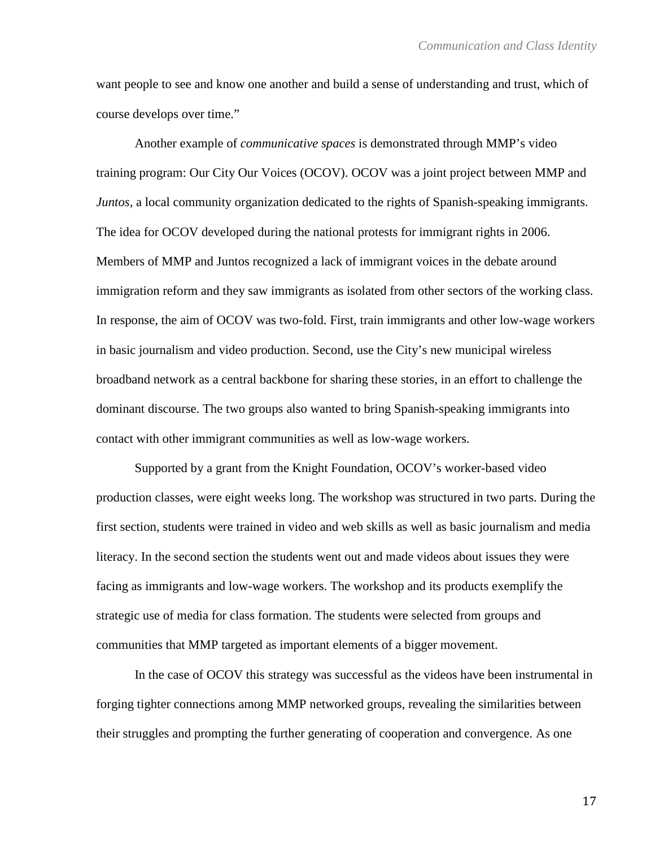want people to see and know one another and build a sense of understanding and trust, which of course develops over time."

Another example of *communicative spaces* is demonstrated through MMP's video training program: Our City Our Voices (OCOV). OCOV was a joint project between MMP and *Juntos*, a local community organization dedicated to the rights of Spanish-speaking immigrants. The idea for OCOV developed during the national protests for immigrant rights in 2006. Members of MMP and Juntos recognized a lack of immigrant voices in the debate around immigration reform and they saw immigrants as isolated from other sectors of the working class. In response, the aim of OCOV was two-fold. First, train immigrants and other low-wage workers in basic journalism and video production. Second, use the City's new municipal wireless broadband network as a central backbone for sharing these stories, in an effort to challenge the dominant discourse. The two groups also wanted to bring Spanish-speaking immigrants into contact with other immigrant communities as well as low-wage workers.

Supported by a grant from the Knight Foundation, OCOV's worker-based video production classes, were eight weeks long. The workshop was structured in two parts. During the first section, students were trained in video and web skills as well as basic journalism and media literacy. In the second section the students went out and made videos about issues they were facing as immigrants and low-wage workers. The workshop and its products exemplify the strategic use of media for class formation. The students were selected from groups and communities that MMP targeted as important elements of a bigger movement.

In the case of OCOV this strategy was successful as the videos have been instrumental in forging tighter connections among MMP networked groups, revealing the similarities between their struggles and prompting the further generating of cooperation and convergence. As one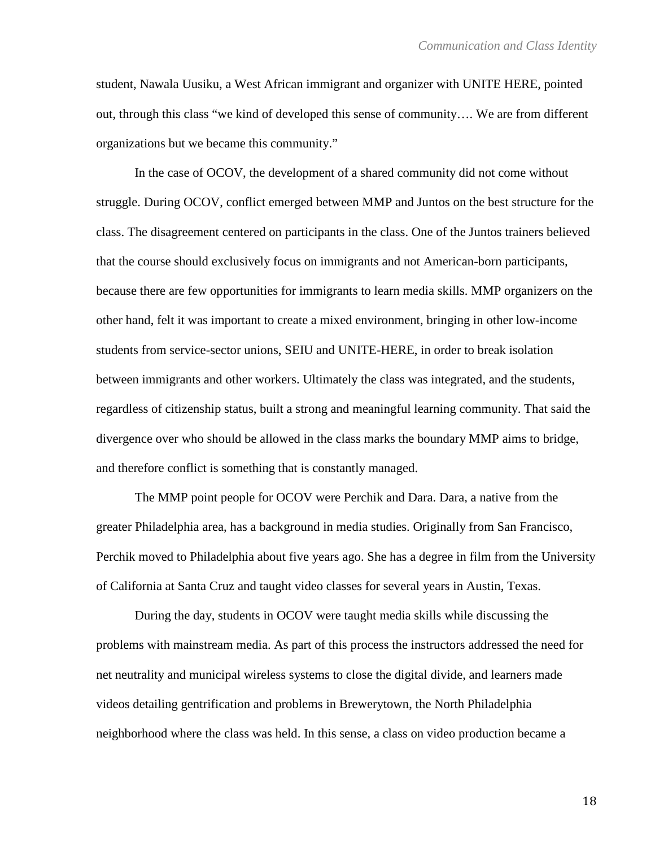student, Nawala Uusiku, a West African immigrant and organizer with UNITE HERE, pointed out, through this class "we kind of developed this sense of community…. We are from different organizations but we became this community."

In the case of OCOV, the development of a shared community did not come without struggle. During OCOV, conflict emerged between MMP and Juntos on the best structure for the class. The disagreement centered on participants in the class. One of the Juntos trainers believed that the course should exclusively focus on immigrants and not American-born participants, because there are few opportunities for immigrants to learn media skills. MMP organizers on the other hand, felt it was important to create a mixed environment, bringing in other low-income students from service-sector unions, SEIU and UNITE-HERE, in order to break isolation between immigrants and other workers. Ultimately the class was integrated, and the students, regardless of citizenship status, built a strong and meaningful learning community. That said the divergence over who should be allowed in the class marks the boundary MMP aims to bridge, and therefore conflict is something that is constantly managed.

The MMP point people for OCOV were Perchik and Dara. Dara, a native from the greater Philadelphia area, has a background in media studies. Originally from San Francisco, Perchik moved to Philadelphia about five years ago. She has a degree in film from the University of California at Santa Cruz and taught video classes for several years in Austin, Texas.

During the day, students in OCOV were taught media skills while discussing the problems with mainstream media. As part of this process the instructors addressed the need for net neutrality and municipal wireless systems to close the digital divide, and learners made videos detailing gentrification and problems in Brewerytown, the North Philadelphia neighborhood where the class was held. In this sense, a class on video production became a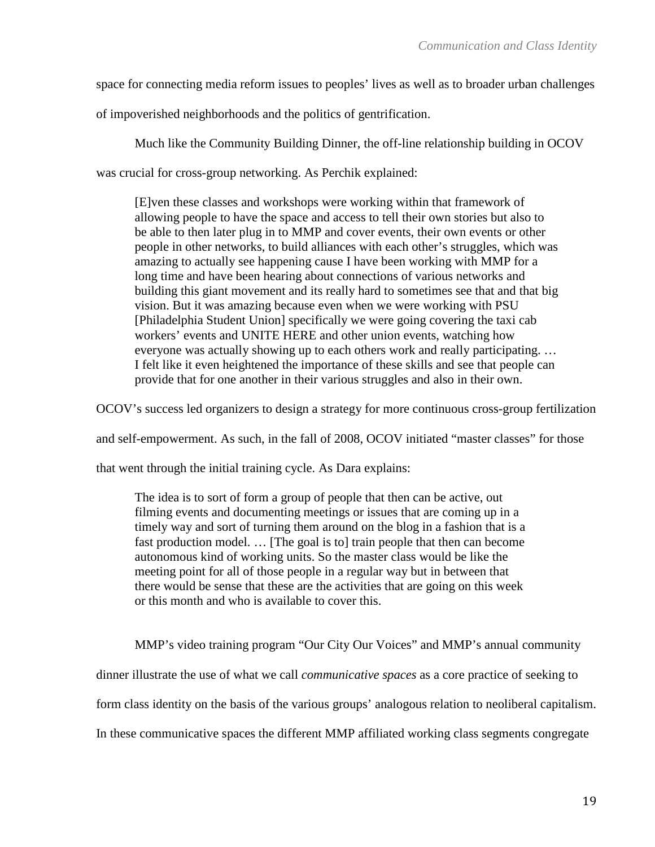space for connecting media reform issues to peoples' lives as well as to broader urban challenges

of impoverished neighborhoods and the politics of gentrification.

Much like the Community Building Dinner, the off-line relationship building in OCOV

was crucial for cross-group networking. As Perchik explained:

[E]ven these classes and workshops were working within that framework of allowing people to have the space and access to tell their own stories but also to be able to then later plug in to MMP and cover events, their own events or other people in other networks, to build alliances with each other's struggles, which was amazing to actually see happening cause I have been working with MMP for a long time and have been hearing about connections of various networks and building this giant movement and its really hard to sometimes see that and that big vision. But it was amazing because even when we were working with PSU [Philadelphia Student Union] specifically we were going covering the taxi cab workers' events and UNITE HERE and other union events, watching how everyone was actually showing up to each others work and really participating. … I felt like it even heightened the importance of these skills and see that people can provide that for one another in their various struggles and also in their own.

OCOV's success led organizers to design a strategy for more continuous cross-group fertilization

and self-empowerment. As such, in the fall of 2008, OCOV initiated "master classes" for those

that went through the initial training cycle. As Dara explains:

The idea is to sort of form a group of people that then can be active, out filming events and documenting meetings or issues that are coming up in a timely way and sort of turning them around on the blog in a fashion that is a fast production model. … [The goal is to] train people that then can become autonomous kind of working units. So the master class would be like the meeting point for all of those people in a regular way but in between that there would be sense that these are the activities that are going on this week or this month and who is available to cover this.

MMP's video training program "Our City Our Voices" and MMP's annual community dinner illustrate the use of what we call *communicative spaces* as a core practice of seeking to form class identity on the basis of the various groups' analogous relation to neoliberal capitalism. In these communicative spaces the different MMP affiliated working class segments congregate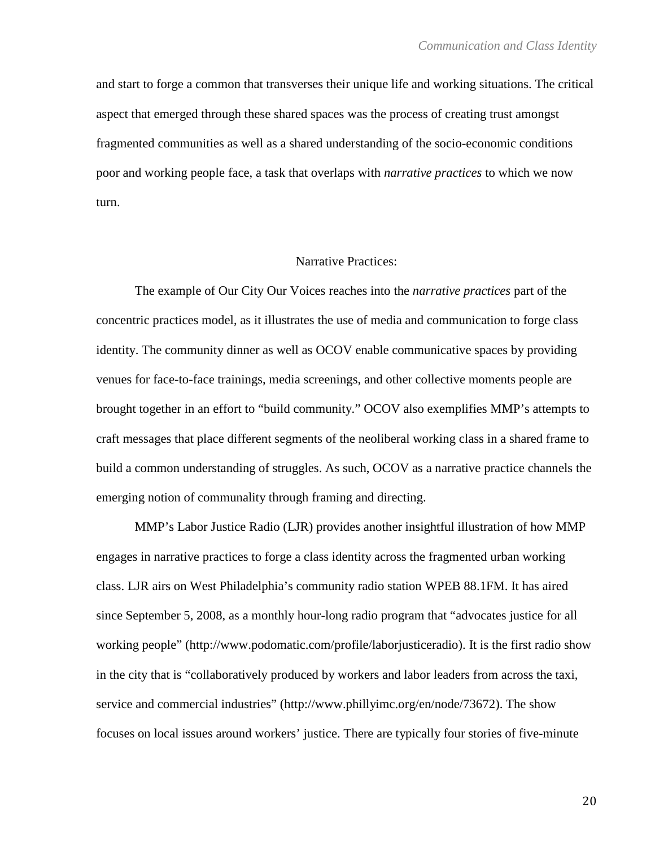and start to forge a common that transverses their unique life and working situations. The critical aspect that emerged through these shared spaces was the process of creating trust amongst fragmented communities as well as a shared understanding of the socio-economic conditions poor and working people face, a task that overlaps with *narrative practices* to which we now turn.

## Narrative Practices:

The example of Our City Our Voices reaches into the *narrative practices* part of the concentric practices model, as it illustrates the use of media and communication to forge class identity. The community dinner as well as OCOV enable communicative spaces by providing venues for face-to-face trainings, media screenings, and other collective moments people are brought together in an effort to "build community." OCOV also exemplifies MMP's attempts to craft messages that place different segments of the neoliberal working class in a shared frame to build a common understanding of struggles. As such, OCOV as a narrative practice channels the emerging notion of communality through framing and directing.

MMP's Labor Justice Radio (LJR) provides another insightful illustration of how MMP engages in narrative practices to forge a class identity across the fragmented urban working class. LJR airs on West Philadelphia's community radio station WPEB 88.1FM. It has aired since September 5, 2008, as a monthly hour-long radio program that "advocates justice for all working people" [\(http://www.podomatic.com/profile/laborjusticeradio\)](http://www.podomatic.com/profile/laborjusticeradio). It is the first radio show in the city that is "collaboratively produced by workers and labor leaders from across the taxi, service and commercial industries" [\(http://www.phillyimc.org/en/node/73672\)](http://www.phillyimc.org/en/node/73672). The show focuses on local issues around workers' justice. There are typically four stories of five-minute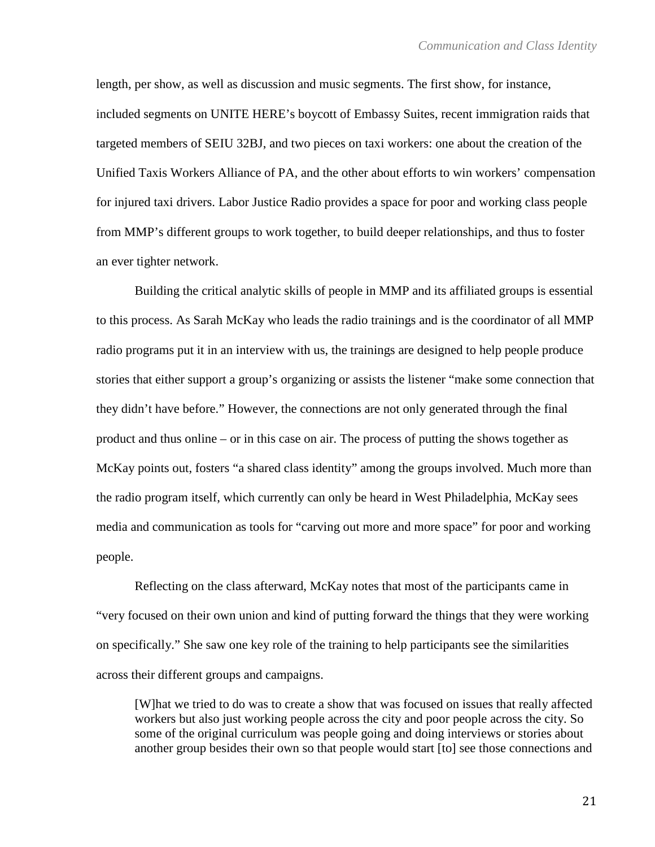length, per show, as well as discussion and music segments. The first show, for instance, included segments on UNITE HERE's boycott of Embassy Suites, recent immigration raids that targeted members of SEIU 32BJ, and two pieces on taxi workers: one about the creation of the Unified Taxis Workers Alliance of PA, and the other about efforts to win workers' compensation for injured taxi drivers. Labor Justice Radio provides a space for poor and working class people from MMP's different groups to work together, to build deeper relationships, and thus to foster an ever tighter network.

Building the critical analytic skills of people in MMP and its affiliated groups is essential to this process. As Sarah McKay who leads the radio trainings and is the coordinator of all MMP radio programs put it in an interview with us, the trainings are designed to help people produce stories that either support a group's organizing or assists the listener "make some connection that they didn't have before." However, the connections are not only generated through the final product and thus online – or in this case on air. The process of putting the shows together as McKay points out, fosters "a shared class identity" among the groups involved. Much more than the radio program itself, which currently can only be heard in West Philadelphia, McKay sees media and communication as tools for "carving out more and more space" for poor and working people.

Reflecting on the class afterward, McKay notes that most of the participants came in "very focused on their own union and kind of putting forward the things that they were working on specifically." She saw one key role of the training to help participants see the similarities across their different groups and campaigns.

[W]hat we tried to do was to create a show that was focused on issues that really affected workers but also just working people across the city and poor people across the city. So some of the original curriculum was people going and doing interviews or stories about another group besides their own so that people would start [to] see those connections and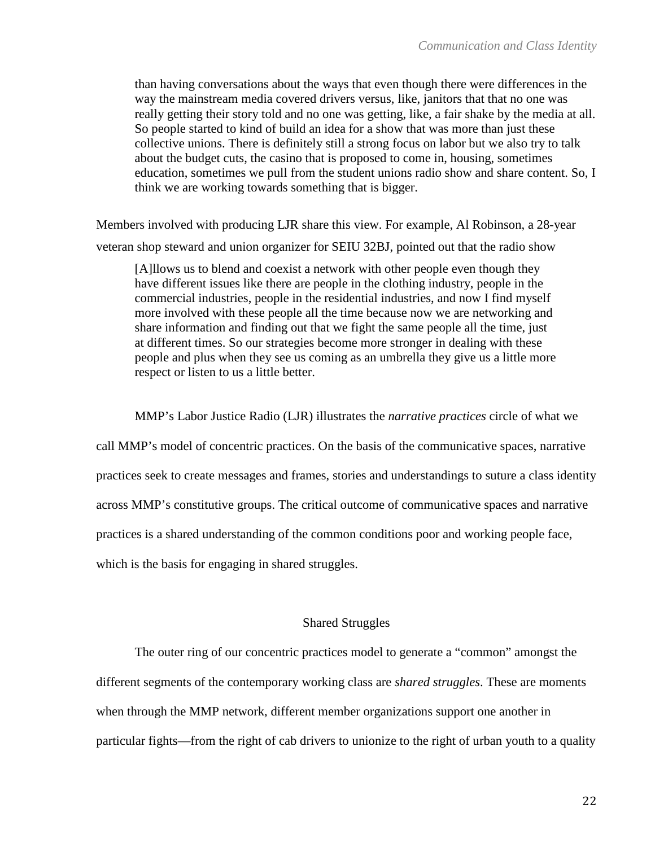than having conversations about the ways that even though there were differences in the way the mainstream media covered drivers versus, like, janitors that that no one was really getting their story told and no one was getting, like, a fair shake by the media at all. So people started to kind of build an idea for a show that was more than just these collective unions. There is definitely still a strong focus on labor but we also try to talk about the budget cuts, the casino that is proposed to come in, housing, sometimes education, sometimes we pull from the student unions radio show and share content. So, I think we are working towards something that is bigger.

Members involved with producing LJR share this view. For example, Al Robinson, a 28-year veteran shop steward and union organizer for SEIU 32BJ, pointed out that the radio show

[A]llows us to blend and coexist a network with other people even though they have different issues like there are people in the clothing industry, people in the commercial industries, people in the residential industries, and now I find myself more involved with these people all the time because now we are networking and share information and finding out that we fight the same people all the time, just at different times. So our strategies become more stronger in dealing with these people and plus when they see us coming as an umbrella they give us a little more respect or listen to us a little better.

MMP's Labor Justice Radio (LJR) illustrates the *narrative practices* circle of what we

call MMP's model of concentric practices. On the basis of the communicative spaces, narrative practices seek to create messages and frames, stories and understandings to suture a class identity across MMP's constitutive groups. The critical outcome of communicative spaces and narrative practices is a shared understanding of the common conditions poor and working people face, which is the basis for engaging in shared struggles.

# Shared Struggles

The outer ring of our concentric practices model to generate a "common" amongst the different segments of the contemporary working class are *shared struggles*. These are moments when through the MMP network, different member organizations support one another in particular fights—from the right of cab drivers to unionize to the right of urban youth to a quality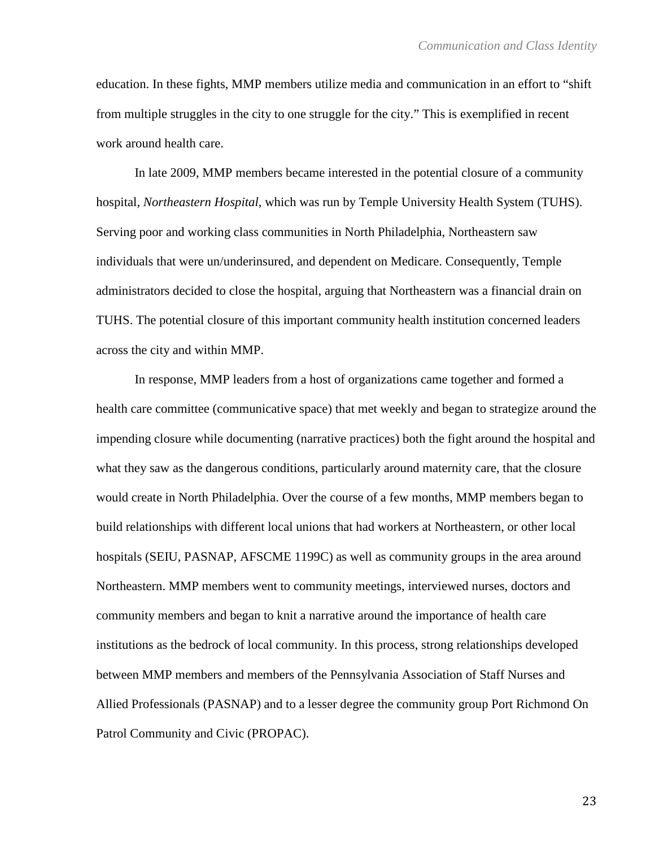education. In these fights, MMP members utilize media and communication in an effort to "shift from multiple struggles in the city to one struggle for the city." This is exemplified in recent work around health care.

In late 2009, MMP members became interested in the potential closure of a community hospital, *Northeastern Hospital*, which was run by Temple University Health System (TUHS). Serving poor and working class communities in North Philadelphia, Northeastern saw individuals that were un/underinsured, and dependent on Medicare. Consequently, Temple administrators decided to close the hospital, arguing that Northeastern was a financial drain on TUHS. The potential closure of this important community health institution concerned leaders across the city and within MMP.

In response, MMP leaders from a host of organizations came together and formed a health care committee (communicative space) that met weekly and began to strategize around the impending closure while documenting (narrative practices) both the fight around the hospital and what they saw as the dangerous conditions, particularly around maternity care, that the closure would create in North Philadelphia. Over the course of a few months, MMP members began to build relationships with different local unions that had workers at Northeastern, or other local hospitals (SEIU, PASNAP, AFSCME 1199C) as well as community groups in the area around Northeastern. MMP members went to community meetings, interviewed nurses, doctors and community members and began to knit a narrative around the importance of health care institutions as the bedrock of local community. In this process, strong relationships developed between MMP members and members of the Pennsylvania Association of Staff Nurses and Allied Professionals (PASNAP) and to a lesser degree the community group Port Richmond On Patrol Community and Civic (PROPAC).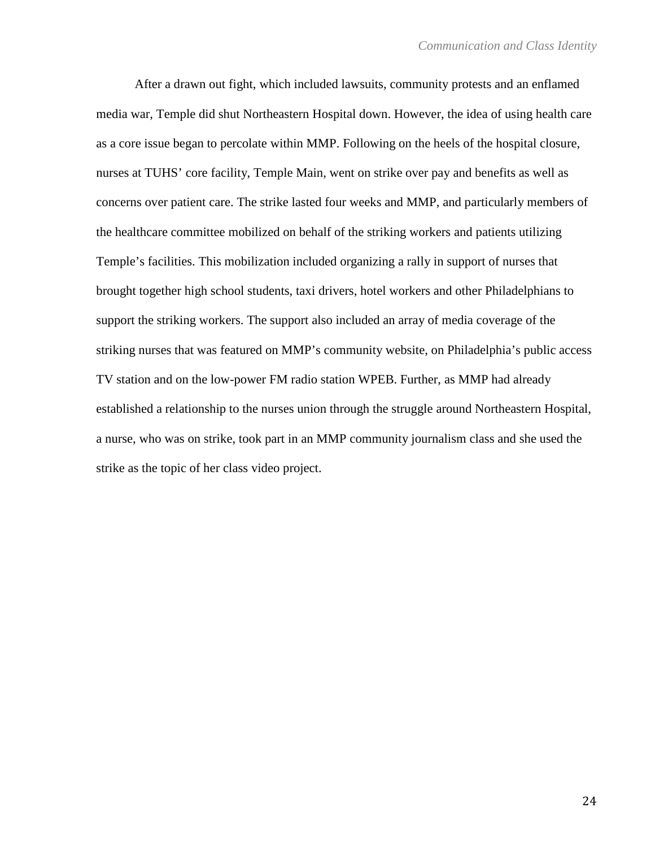After a drawn out fight, which included lawsuits, community protests and an enflamed media war, Temple did shut Northeastern Hospital down. However, the idea of using health care as a core issue began to percolate within MMP. Following on the heels of the hospital closure, nurses at TUHS' core facility, Temple Main, went on strike over pay and benefits as well as concerns over patient care. The strike lasted four weeks and MMP, and particularly members of the healthcare committee mobilized on behalf of the striking workers and patients utilizing Temple's facilities. This mobilization included organizing a rally in support of nurses that brought together high school students, taxi drivers, hotel workers and other Philadelphians to support the striking workers. The support also included an array of media coverage of the striking nurses that was featured on MMP's community website, on Philadelphia's public access TV station and on the low-power FM radio station WPEB. Further, as MMP had already established a relationship to the nurses union through the struggle around Northeastern Hospital, a nurse, who was on strike, took part in an MMP community journalism class and she used the strike as the topic of her class video project.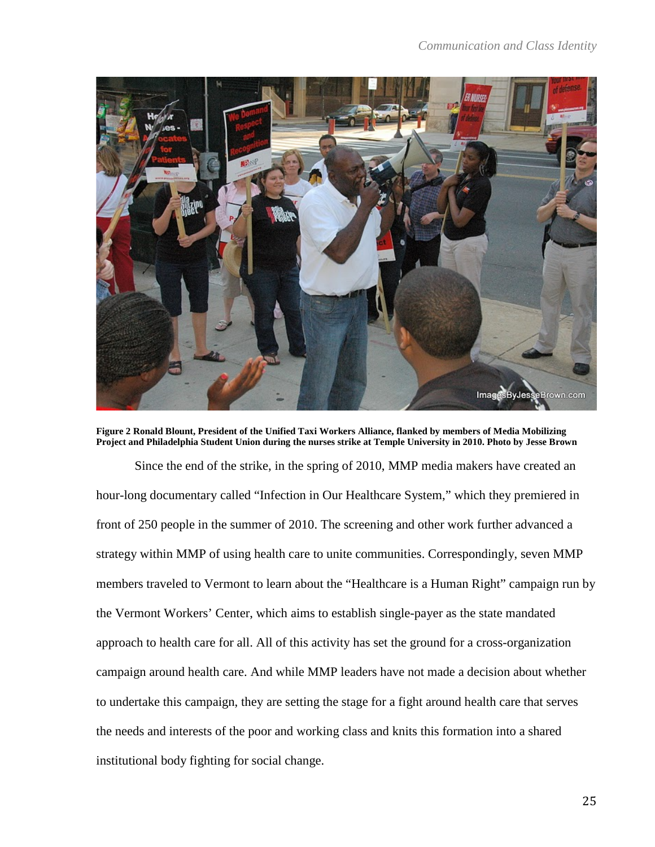

**Figure 2 Ronald Blount, President of the Unified Taxi Workers Alliance, flanked by members of Media Mobilizing Project and Philadelphia Student Union during the nurses strike at Temple University in 2010. Photo by Jesse Brown**

Since the end of the strike, in the spring of 2010, MMP media makers have created an hour-long documentary called "Infection in Our Healthcare System," which they premiered in front of 250 people in the summer of 2010. The screening and other work further advanced a strategy within MMP of using health care to unite communities. Correspondingly, seven MMP members traveled to Vermont to learn about the "Healthcare is a Human Right" campaign run by the Vermont Workers' Center, which aims to establish single-payer as the state mandated approach to health care for all. All of this activity has set the ground for a cross-organization campaign around health care. And while MMP leaders have not made a decision about whether to undertake this campaign, they are setting the stage for a fight around health care that serves the needs and interests of the poor and working class and knits this formation into a shared institutional body fighting for social change.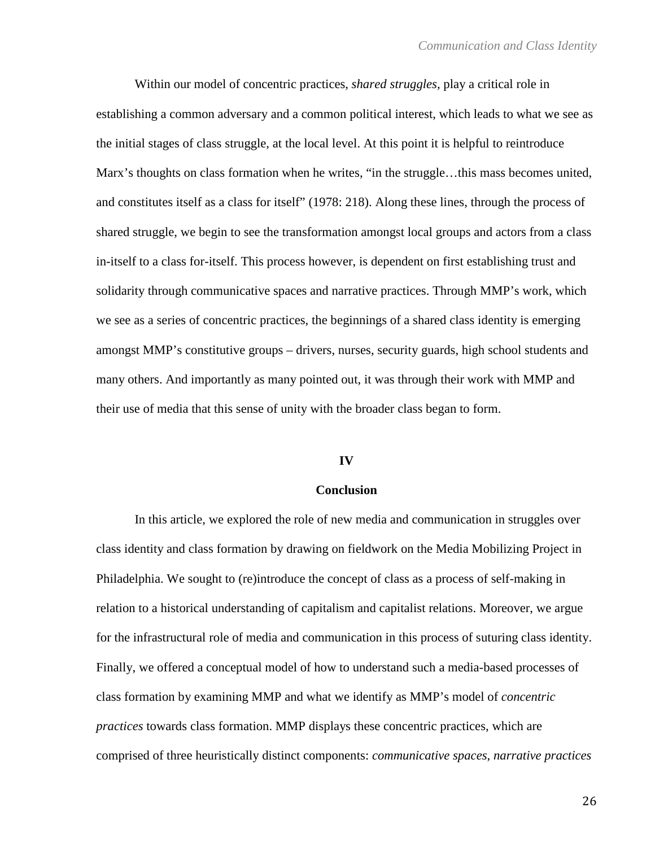Within our model of concentric practices, *shared struggles,* play a critical role in establishing a common adversary and a common political interest, which leads to what we see as the initial stages of class struggle, at the local level. At this point it is helpful to reintroduce Marx's thoughts on class formation when he writes, "in the struggle...this mass becomes united, and constitutes itself as a class for itself" (1978: 218). Along these lines, through the process of shared struggle, we begin to see the transformation amongst local groups and actors from a class in-itself to a class for-itself. This process however, is dependent on first establishing trust and solidarity through communicative spaces and narrative practices. Through MMP's work, which we see as a series of concentric practices, the beginnings of a shared class identity is emerging amongst MMP's constitutive groups – drivers, nurses, security guards, high school students and many others. And importantly as many pointed out, it was through their work with MMP and their use of media that this sense of unity with the broader class began to form.

#### **IV**

#### **Conclusion**

In this article, we explored the role of new media and communication in struggles over class identity and class formation by drawing on fieldwork on the Media Mobilizing Project in Philadelphia. We sought to (re)introduce the concept of class as a process of self-making in relation to a historical understanding of capitalism and capitalist relations. Moreover, we argue for the infrastructural role of media and communication in this process of suturing class identity. Finally, we offered a conceptual model of how to understand such a media-based processes of class formation by examining MMP and what we identify as MMP's model of *concentric practices* towards class formation. MMP displays these concentric practices, which are comprised of three heuristically distinct components: *communicative spaces*, *narrative practices*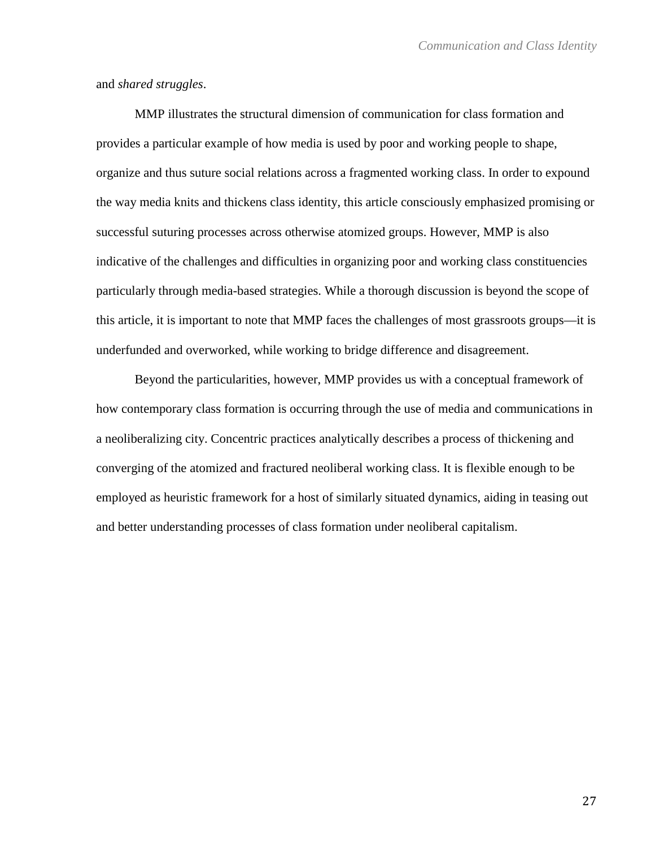and *shared struggles*.

MMP illustrates the structural dimension of communication for class formation and provides a particular example of how media is used by poor and working people to shape, organize and thus suture social relations across a fragmented working class. In order to expound the way media knits and thickens class identity, this article consciously emphasized promising or successful suturing processes across otherwise atomized groups. However, MMP is also indicative of the challenges and difficulties in organizing poor and working class constituencies particularly through media-based strategies. While a thorough discussion is beyond the scope of this article, it is important to note that MMP faces the challenges of most grassroots groups—it is underfunded and overworked, while working to bridge difference and disagreement.

Beyond the particularities, however, MMP provides us with a conceptual framework of how contemporary class formation is occurring through the use of media and communications in a neoliberalizing city. Concentric practices analytically describes a process of thickening and converging of the atomized and fractured neoliberal working class. It is flexible enough to be employed as heuristic framework for a host of similarly situated dynamics, aiding in teasing out and better understanding processes of class formation under neoliberal capitalism.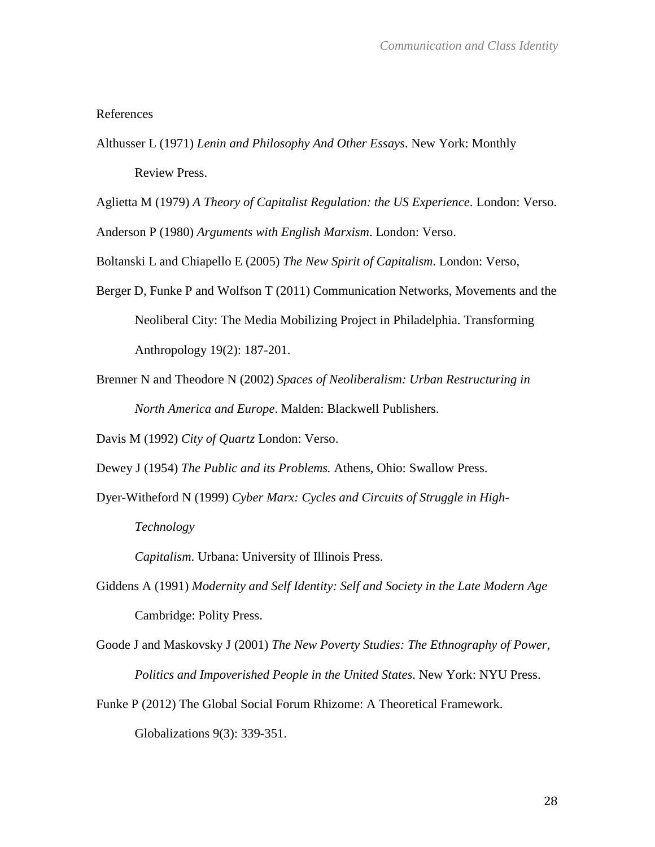#### References

Althusser L (1971) *Lenin and Philosophy And Other Essays*. New York: Monthly Review Press.

Aglietta M (1979) *A Theory of Capitalist Regulation: the US Experience*. London: Verso.

Anderson P (1980) *Arguments with English Marxism*. London: Verso.

Boltanski L and Chiapello E (2005) *The New Spirit of Capitalism*. London: Verso,

- Berger D, Funke P and Wolfson T (2011) Communication Networks, Movements and the Neoliberal City: The Media Mobilizing Project in Philadelphia. Transforming Anthropology 19(2): 187-201.
- Brenner N and Theodore N (2002) *Spaces of Neoliberalism: Urban Restructuring in North America and Europe*. Malden: Blackwell Publishers.

Davis M (1992) *City of Quartz* London: Verso.

Dewey J (1954) *The Public and its Problems.* Athens, Ohio: Swallow Press.

Dyer-Witheford N (1999) *Cyber Marx: Cycles and Circuits of Struggle in High-Technology* 

*Capitalism*. Urbana: University of Illinois Press.

- Giddens A (1991) *Modernity and Self Identity: Self and Society in the Late Modern Age*  Cambridge: Polity Press.
- Goode J and Maskovsky J (2001) *The New Poverty Studies: The Ethnography of Power, Politics and Impoverished People in the United States*. New York: NYU Press.
- Funke P (2012) The Global Social Forum Rhizome: A Theoretical Framework. Globalizations 9(3): 339-351.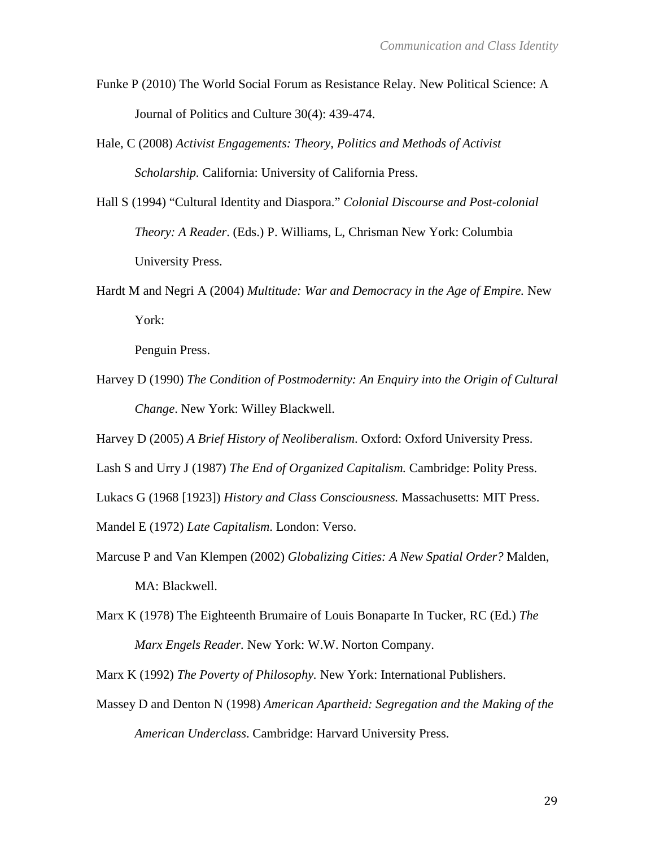- Funke P (2010) The World Social Forum as Resistance Relay. New Political Science: A Journal of Politics and Culture 30(4): 439-474.
- Hale, C (2008) *Activist Engagements: Theory, Politics and Methods of Activist Scholarship.* California: University of California Press.
- Hall S (1994) "Cultural Identity and Diaspora." *Colonial Discourse and Post-colonial Theory: A Reader*. (Eds.) P. Williams, L, Chrisman New York: Columbia University Press.
- Hardt M and Negri A (2004) *Multitude: War and Democracy in the Age of Empire.* New York:

Penguin Press.

Harvey D (1990) *The Condition of Postmodernity: An Enquiry into the Origin of Cultural Change*. New York: Willey Blackwell.

Harvey D (2005) *A Brief History of Neoliberalism*. Oxford: Oxford University Press.

Lash S and Urry J (1987) *The End of Organized Capitalism.* Cambridge: Polity Press.

Lukacs G (1968 [1923]) *History and Class Consciousness.* Massachusetts: MIT Press.

Mandel E (1972) *Late Capitalism*. London: Verso.

- Marcuse P and Van Klempen (2002) *Globalizing Cities: A New Spatial Order?* Malden, MA: Blackwell.
- Marx K (1978) The Eighteenth Brumaire of Louis Bonaparte In Tucker, RC (Ed.) *The Marx Engels Reader.* New York: W.W. Norton Company.

Marx K (1992) *The Poverty of Philosophy.* New York: International Publishers.

Massey D and Denton N (1998) *American Apartheid: Segregation and the Making of the American Underclass*. Cambridge: Harvard University Press.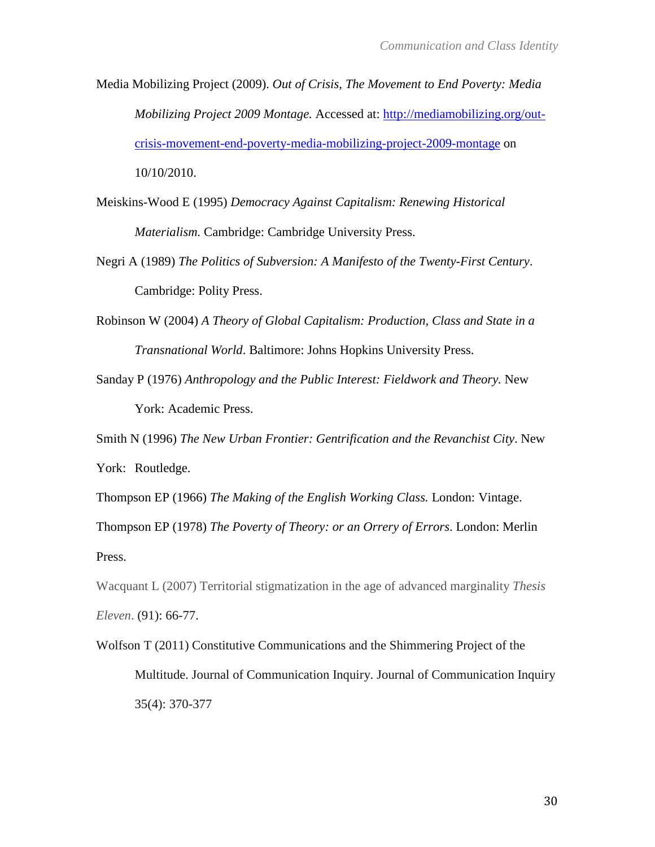- Media Mobilizing Project (2009). *Out of Crisis, The Movement to End Poverty: Media Mobilizing Project 2009 Montage.* Accessed at: [http://mediamobilizing.org/out](http://mediamobilizing.org/out-crisis-movement-end-poverty-media-mobilizing-project-2009-montage)[crisis-movement-end-poverty-media-mobilizing-project-2009-montage](http://mediamobilizing.org/out-crisis-movement-end-poverty-media-mobilizing-project-2009-montage) on 10/10/2010.
- Meiskins-Wood E (1995) *Democracy Against Capitalism: Renewing Historical Materialism.* Cambridge: Cambridge University Press.
- Negri A (1989) *The Politics of Subversion: A Manifesto of the Twenty-First Century*. Cambridge: Polity Press.
- Robinson W (2004) *A Theory of Global Capitalism: Production, Class and State in a Transnational World*. Baltimore: Johns Hopkins University Press.
- Sanday P (1976) *Anthropology and the Public Interest: Fieldwork and Theory.* New York: Academic Press.

Smith N (1996) *The New Urban Frontier: Gentrification and the Revanchist City*. New York: Routledge.

Thompson EP (1966) *The Making of the English Working Class.* London: Vintage. Thompson EP (1978) *The Poverty of Theory: or an Orrery of Errors*. London: Merlin Press.

Wacquant L (2007) Territorial stigmatization in the age of advanced marginality *Thesis Eleven*. (91): 66-77.

Wolfson T (2011) Constitutive Communications and the Shimmering Project of the Multitude. Journal of Communication Inquiry. Journal of Communication Inquiry 35(4): 370-377